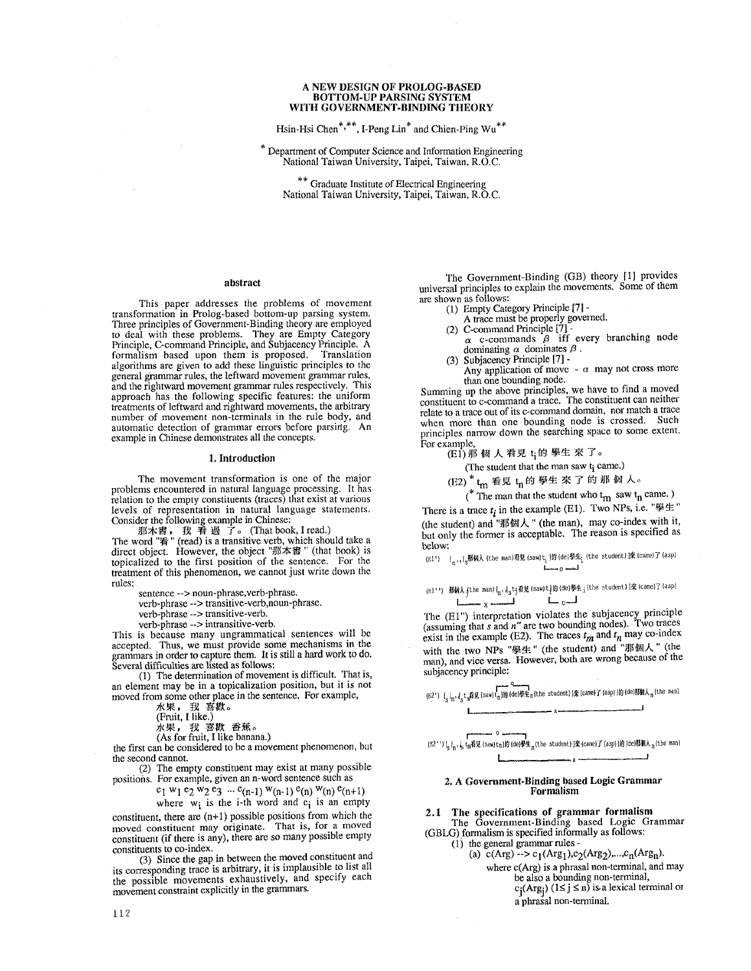### **A** NEW DESIGN OF PROLOG-BASED BOTTOM-UP PARSING SYSTEM **WITH** GOVERNMENT.BINDING THEORY

Hsin-Hsi Chen\*,\*\*, I-Peng Lin\* and Chien-Ping Wu\*\*

\* Department of Computer Science and Information Engineering National Taiwan University, Taipei, Taiwan, R.O.C.

\*\* Graduate Institute of Electrical Engineering National Taiwan University, Taipei, Taiwan, R.O.C.

## abstract

This paper addresses the problems of movement transformation in Prolog-based bottom-up parsing system. Three principles of Government-Binding theory are employed to deal with these problems. They are Empty Category Principle, C-command Principle, and Subjacency Principle. A formalism based upon them is proposed. Translation algorithms are given to add these linguistic principles to the general grammar rules, the leftward movement grammar rules, and the rightward movement grammar rules respectively. This approach has the following specific features: the uniform treatments of leftward and rightward movements, the arbitrary number of movement non-terminals in the rule body, and automatic detection of grammar errors before parsirlg. An example in Chinese demonstrates all the concepts.

#### 1. Introduction

The movement transformation is one of the major problems encountered in natural language processing. It has relation to the empty constituents (traces) that exist at various levels of representation in natural language statements. Consider the following example in Chinese:

那本書 , 我 看 過 了。 (That book, I read.) The word "看" (read) is a transitive verb, which should take a direct object. However, the object "那本書" (that book) is topicalized to the first position of the sentence. For the treatment of this phenomenon, we cannot just write down the rules:

sentence --> noun-phrase,verb-phrase.

verb-phrase --> transitive-verb,noun-phrase.

verb-phrase --> transitive-verb.

verb-phrase --> intransitive-verb.

This is because many ungrammatical sentences will be accepted. Thus, we must provide some mechanisms in the grammars in order to capture them. It is still a hard work to do. Several difficulties are listed as follows:

(1) The determination of movement is difficult. That is, an element may be in a topicalization position, but it is not moved from some other place in the sentence. For example,

水果, 我喜歡。<br>(Fruit, I like.)

水果, 我 喜歡 香蕉。

(As for fruit, I like banana.)

the first can be considered to be a movement phenomenon, but the second cannot.

(2) The empty constituent may exist at many possible positions. For example, given an n-word sentence such as

 $e_1$  w<sub>1</sub>  $e_2$  w<sub>2</sub>  $e_3$  ...  $e_{(n-1)}$  w<sub>(n-1)</sub>  $e_{(n)}$  w<sub>(n)</sub>  $e_{(n+1)}$ 

where  $w_i$  is the i-th word and  $e_i$  is an empty

constituent, there are  $(n+1)$  possible positions from which the moved constituent may originate. That is, for a moved constituent (if there is any), there are so many possible empty constituents to co-index.

(3) Since the gap in between the moved constituent and its corresponding trace is arbitrary, it is implausible to list all the possible movements exhaustively, and specify each movement constraint explicitly in the grammars.

The Government-Binding (GB) theory [1] provides universal principles to explain the movements. Some of them are shown as follows:

- (1) Empty Category Principle [7] -
- A trace must be properly governed.
- (2) C-command Principle [7]-
- $\alpha$  c-commands  $\beta$  iff every branching node dominating  $\alpha$  dominates  $\beta$ .
- (3) Subjacency Principle [7] Any application of move  $-\alpha$  may not cross more

than one bounding node. Summing up the above principles, we have to find a moved constituent to c-command a trace. The constituent can neither relate to a trace out of its c-command domain, nor match a trace when more than one bounding node is crossed. Such principles nan'ow down the searching space to some extent. For example,

**(El) ~]l~ tN J~ ~ ti~t'~ ~- ~ To** 

(The student that the man saw t<sub>i</sub> came.)

(E2) " t<sub>m</sub> 看見 t<sub>n</sub> 的 學生 來 了 旳 那 個 人。

(\* The man that the student who  $t_m$  saw  $t_n$  came.) There is a trace  $t_i$  in the example (E1). Two NPs, i.e. " $\mathscr{L}$ !" (the student) and "那個人" (the man), may co-index with it, but only the former is acceptable. The reason is specified as below:

(g1') [ , [ 那個人 (the man)看見 (saw) t }的 (de)學生, (the student) 1來 (came) 1 (asp) L.~o~

(g)++) 那胡人 (the man)[ n, ,[ t;看見 (saw)t]的(de)學生; (the student)]來 (came)] (asp) <sub>y -</sub>مساد المستمر

The (El") interpretation violates the subjacency principle (assuming that s and n" are two bounding nodes). Two traces exist in the example (E2). The traces  $t_m$  and  $t_n$  may co-index exist in the example (E2). The traces  $t_m$  and  $t_n$  may co-index with the two NPs "擧生" (the student) and "那個人" (the<br>man), and vice versa. However, both are wrong because of the subjacency principle:

 $\sum_{i=1}^{n}$   $\sum_{i=1}^{n}$   $\sum_{i=1}^{n}$   $\sum_{j=1}^{n}$  (de)毕生n(the student)1來 (came) $\overline{I}$  (asp)][ $\overline{I}$  (de)那  $\overline{I}$  (the man)  $\blacksquare$ 

(E2'')  $\left[\frac{1}{2}\right]_{n}$ ,  $\frac{1}{2}$  t<sub>m</sub> $\frac{2}{3}$  (saw)tn] $\frac{1}{2}$  (de) $\frac{3}{2}$   $\frac{1}{2}$  (came)  $\frac{1}{2}$  (asp)  $\frac{1}{2}$  (de)那個人 <sub>n</sub> (the man) **I X~ \_ .\_ I** 

## **2. A Government-Bindlng based Logic Grammar Formalism**

2.1 The **specifications of grammar formalism**  The Government-Binding based Logic Grammar

(GBLG) formalism is specified informally as follows:  $(1)$  the general grammar rules -

(a)  $c(Arg) \rightarrow c_1(Arg_1), c_2(Arg_2),...,c_n(Arg_n).$ 

- where  $c(Arg)$  is a phrasal non-terminal, and may
	- be also a bounding non-terminal,<br>c<sub>j</sub>(Arg<sub>j</sub>) (1≤ j ≤ n) is a lexical terminal or a phrasal non-terminal.

Lucas and a second continue to the continue of the second continue of the second continue of the second continue of the second continue of the second continue of the second continue of the second continue of the second con ~ o .-=--~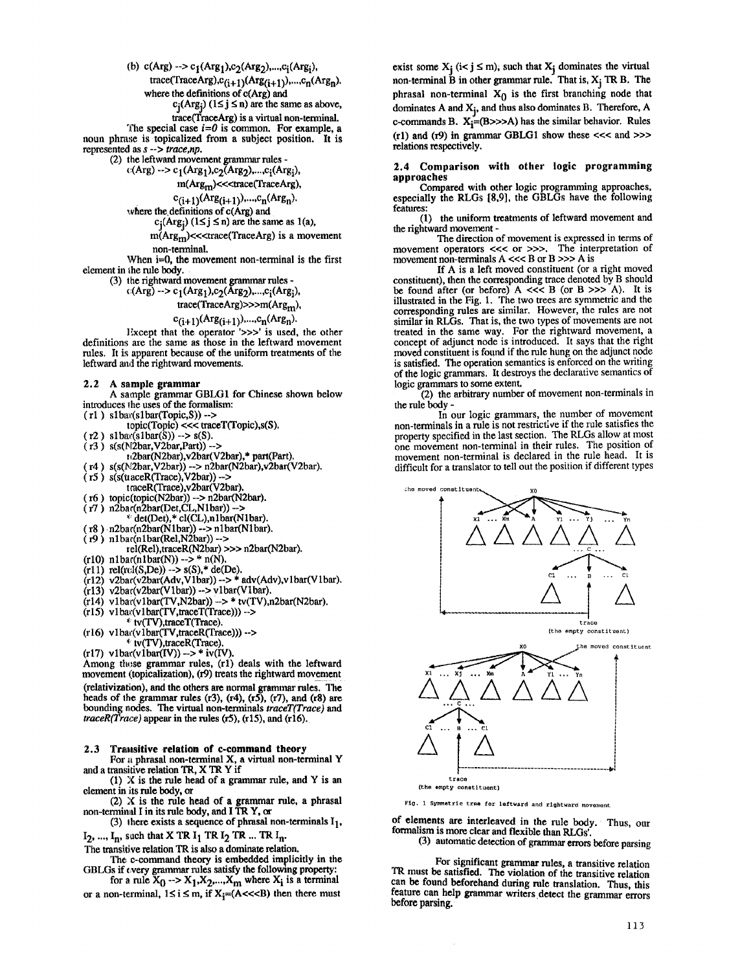(b)  $c(Arg)$  -->  $c_1(Arg_1), c_2(Arg_2), ..., c_i(Arg_i)$ ,

 $trace(TraceArg),c_{(i+1)}(Arg_{(i+1)}),...,c_n(Arg_n).$ where the definitions of c(Arg) and

 $c_i(Arg_i)$  ( $1 \le j \le n$ ) are the same as above,

trace(TraceArg) is a virtual non-terminal.

The special case *i=O* is common. For example, a noun phrase is topicalized from a subject position. It is represented as s -- > *trace,np.* 

(2) the leftward movement grammar rules -

 $c(Arg) \rightarrow c_1(Arg_1), c_2(Arg_2),...,c_i(Arg_i),$ 

m(Arg<sub>m</sub>)<<<trace(TraceArg),

$$
c_{(i+1)}(Arg_{(i+1)})
$$
,..., $c_n(Arg_n)$ .

$$
c
$$
 definitions of  $c(\text{Arg})$  and

 $c_j(Arg_j)$  ( $1 \le j \le n$ ) are the same as 1(a),

 $m(Arg<sub>m</sub>)$ <<<trace(TraceArg) is a movement non-terminal.

When  $i=0$ , the movement non-terminal is the first element in the rule body.

(3) t he rightward movement grammar rules -

 $c(Arg) \rightarrow c_1(Arg_1), c_2(Arg_2), ..., c_i(Arg_i),$ 

trace(TraceArg)>>>m(Argm),

$$
c_{(i+1)}(Arg_{(i+1)})
$$
,..., $c_n(Arg_n)$ .

Except that the operator '>>>' is used, the other definitions are the same as those in the leftward movement rules. It is apparent because of the uniform treatments of the leftward and the rightward movements.

**2.2 A sample grammar** 

where the

A sample grammar GBLG1 for Chinese shown below introduces the uses of the formalism:

 $(r1)$  slbar(slbar(Topic,S)) -->

topic(Topic) <<< traeeT(Topic),s(S).

 $(r2)$  slbar(slbar(S)) --> s(S).

 $( r3 )$  s(s(N2bar, V2bar, Part)) -->

z~2bar(N2bar),v2bar(V2bar),\* part(Part).

( r4 ) s(s(N2bar,V2bar)) --> n2bar(N2bar),v2bar(V2bar)

 $( r5 )$  s(s(traceR(Trace), V2bar)) -->

traceR(Trace),v2bar(V2bar).

- ( r6 ) topic(topic(N2bar)) --> n2bar(N2bar).
- ( r7 ) n2bar(n2bar(Det,CL,Nlbar)) -->

\* det(Det),\* cl(CL),nlbar0Nlbar).

- $( r8 )$  n2bar(n2bar(N1bar)) --> n1bar(N1bar). ( 19 ) nlbac(nlbar(Rel,N2bar)) -->
- tel(Rel),traceR(N2bar) >>> n2bar(N2bar). (riO) nlbar(nlbar(N)) --> \* n(N).

 $(r11)$  rel(rel(S,De)) --> s(S),\* de(De).

 $(r12)$  v2bar(v2bar(Adv,V1bar)) --> \* adv(Adv),v1bar(V1bar).

$$
(r13) v2bar(v2bar(V1bar)) -- > v1bar(V1bar).
$$

(r14) vlbar(vlbar(TV, N2bar)) -> \* tv(TV),n2bar(N2bar).

 $(r15)$  vlbar(vlbar(TV,traceT(Trace))) --> \* tv(TV),traceT(Trace)

 $(16)$  vlbar $($ vlbar $(TV, \text{traceR}(Trace)))$ --> \* tv(TV),traeeR(Trace).

 $(r17)$  vlbar(vlbar(IV)) --> \* iv(IV).

Among these grammar rules, (r1) deals with the leftward movement (topicalization), (r9) treats the rightward movement (relativization), and the others are normal grammar rules. The heads of the grammar rules (r3), (r4), (r5), (r7), and (r8) are bounding nodes. The virtual non-terminals *traceT(Trace) and*   $\text{traceR}(Trace)$  appear in the rules (r5), (r15), and (r16).

2.3 Transitive relation of c-command theory

For a phrasal non-terminal X, a virtual non-terminal Y and a transitive relation TR, X TRY if

(1) X is the rule head of a grammar rule, and Y is an element in its rule body, or

(2) X is the rule head of a grammar rule, a phrasal non-terminal I in its rule body, and I TR Y, or

(3) there exists a sequence of phrasal non-terminals  $I_1$ ,

 $I_2$ , ...,  $I_n$ , such that X TR  $I_1$  TR  $I_2$  TR ... TR  $I_n$ .

The transitive relation TR is also a dominate relation. The c-command theory is embedded implicitly in the

GBLGs if every grammar rules satisfy the following property: for a rule  $X_0 \rightarrow X_1, X_2, ..., X_m$  where  $X_i$  is a terminal

or a non-terminal,  $1 \le i \le m$ , if  $X_i = (A \lt \lt B)$  then there must

exist some  $X_i$  ( $i < j \le m$ ), such that  $X_i$  dominates the virtual non-terminal  $\tilde{B}$  in other grammar rule. That is,  $X_i$  TR B. The phrasal non-terminal  $X_0$  is the first branching node that dominates  $A$  and  $X_i$ , and thus also dominates  $B$ . Therefore,  $A$ c-commands B.  $X_i = (B \gg A)$  has the similar behavior. Rules  $(1)$  and  $(19)$  in grammar GBLG1 show these <<< and >>> relations respectively.

2.4 Comparison with other logic programming approaches

Compared with other logic programming approaches, especially the RLGs [8,9], the GBLGs have the following features:

(1) the uniform treatments of leftward movement and the rightward movement -

The direction of movement is expressed in terms of movement operators <<< or >>>. The interpretation of movement non-terminals  $A \ll B$  or  $B \gg > A$  is

If A is a left moved constituent (or a fight moved constituent), then the corresponding trace denoted by B should be found after (or before)  $A \ll B$  (or  $B \gg A$ ). It is illustrated in the Fig. 1. The two trees are symmetric and the corresponding rules are similar. However, the rules are not similar in RLGs. That is, the two types of movements are not treated in the same way. For the rightward movement, a concept of adjunct node is introduced. It says that the right moved constituent is found if the rule hung on the adjunct node is satisfied. The operation semantics is enforced on the writing of the logic grammars. It destroys the declarative semantics of logic grammars to some extent.

(2) the arbitrary number of movement non-terminals in the rule body -

In our logic grammars, the number of movement non-terminals in a rule is not restrictive if the rule satisfies the property specified in the last section. The RLGs allow at most one movement non-terminal in their rules. The position of movement non-terminal is declared in the rule head. It is difficult for a translator to tell out the position if different types



Fig. 1 Symmetric tree for leftward and rightward movement

of elements are interleaved in the rule body. Thus, our formalism is more clear and flexible than RLGs'.

(3) automatic detection of grammar errors before parsing

For significant grammar rules, a transitive relation TR must be satisfied. The violation of the transitive relation can be found beforehand during rule translation. Thus, this feature can help grammar writers detect the grammar errors before parsing.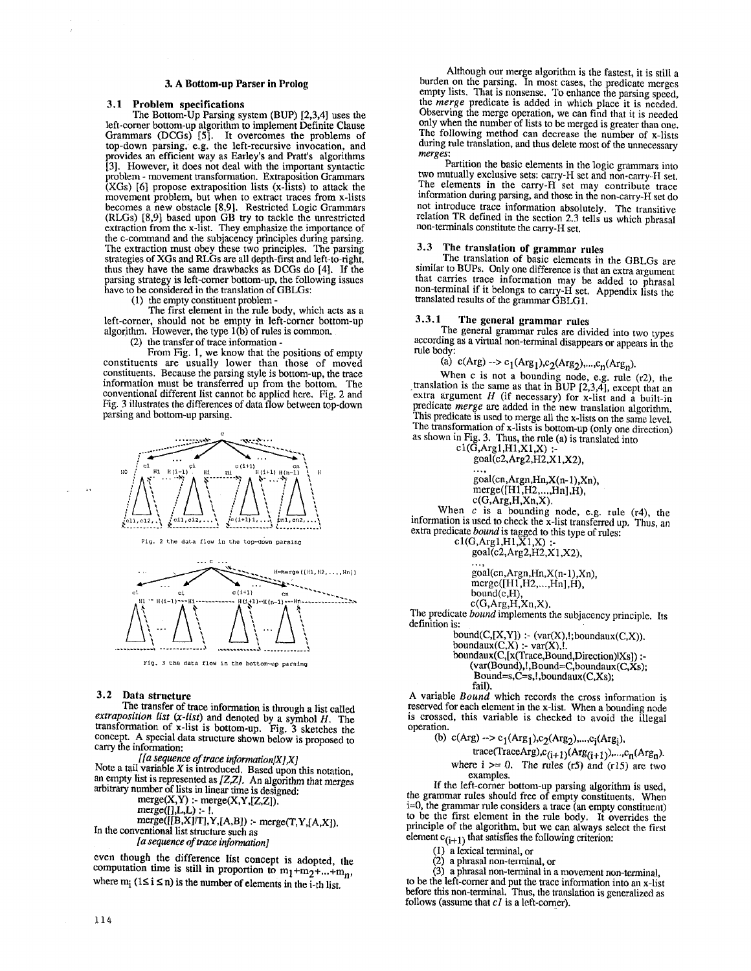### **3. A Bottom-up Parser in Prolog**

### 3.1 Problem **specifications**

The Bottom-Up Parsing system (BUP) [2,3,4] uses the left-corner bottom-up algorithm to implement Definite Clause Grammars (DCGs) [5]. It overcomes the problems of top-down parsing, e.g. the left-recursive invocation, and provides an efficient way as Earley's and Pratt's algorithms [3]. However, it does not deal with the important syntactic problem - movement transformation. Extraposition Grarmnars (XGs) [6] propose extraposition lists (x-lists) to attack the movement problem, but when to extract traces from x-lists becomes a new obstacle [8,9]. Restricted Logic Grammars (RLGs) [8,9] based upon GB try to tackle the unrestricted extraction from the x-list. They emphasize the importance of the c-command and the subjacency principles during parsing. The extraction must obey these two principles. The parsing strategies of XGs and RLGs are all depth-first and left-to-right, thus they have the same drawbacks as DCGs do [4]. If the parsing strategy is left-corner bottom-up, the following issues have to be considered in the translation of GBLGs:

(1) the empty constituent problem -

The first element in the rule body, which acts as a left-corner, should not be empty in left-corner bottom-up algorithm. However, the type 1 (b) of rules is common.

(2) the transfer of trace information -

From Fig. 1, we know that the positions of empty constituents are usually lower than those of moved constituents. Because the parsing style is bottom-up, the trace information must be transferred up from the bottom. The conventional different list cannot be applied here. Fig. 2 and Fig. 3 illustrates the differences of data flow between top-down parsing and bottom-up parsing.



Fig. 2 the data flow in the top-down parsing



# **3.2 Data structure**

The transfer of trace information is through a list called *extraposition list (x-list)* and denoted by a symbol H. The transformation of x-list is bottom-up. Fig. 3 sketches the concept. A special data structure shown below is proposed to carry the information:

*[In sequence of trace information/X],X]*  Note a tail variable  $X$  is introduced. Based upon this notation, an empty list is represented as *[Z,Z].* An algorithm that merges arbitrary number of lists in linear time is designed:

 $merge(X, Y)$  :-  $merge(X, Y, [Z, Z])$ .

$$
merge([], L, L) : \ldots
$$

 $merge([[B,X][T],Y,[A,B])$  :- merge(T,Y,[A,X]). In the conventional list structure such as

*[a sequence of trace information]* 

even though the difference list concept is adopted, the computation time is still in proportion to  $m_1 + m_2 + ... + m_n$ , where  $m_i$  ( $1 \le i \le n$ ) is the number of elements in the i-th list.

Although our merge algorithm is the fastest, it is still a burden on the parsing. In most cases, the predicate merges empty lists. That is nonsense. To enhance the parsing speed, the *merge* predicate is added in which place it is needed. Observing the merge operation, we can find that it is needed only when the number of lists to be merged is greater than one. The following method can decrease the number of x-lists during rule translation, and thus delete most of the unnecessary *merges:* 

Partition the basic elements in the logic grammars into two mutually exclusive sets: carry-H set and non-earry-H set. The elements in the carry-H set may contribute trace information during parsing, and those in the non-carry-H set do not introduce trace information absolutely. The transitive relation TR defined in the section 2.3 tells us which phrasal non-terminals constitute the carry-H set.

# 3.3 The translation of grammar **rules**

The translation of basic elements in the GBLGs are similar to BUPs. Only one difference is that an extra argument that carries trace information may be added to phrasal non-terminal if it belongs to carry-H set. Appendix lists the translated results of the grammar GBLG 1.

### 3.3.1 The general grammar rules

The general grammar rules are divided into two types according as a virtual non-terminal disappears or appears in the rule body:

(a) c(Arg) --> c<sub>1</sub>(Arg<sub>1</sub>),c<sub>2</sub>(Arg<sub>2</sub>),...,c<sub>n</sub>(Arg<sub>n</sub>).

When c is not a bounding node, e.g. rule (r2), the translation is the same as that in BUP [2,3,4], except that an extra argument  $H$  (if necessary) for x-list and a built-in predicate *merge are* added in the new translation algorithm. This predicate is used to merge all the x-lists on the same level. The transformation of x-lists is bottom-up (only one direction) as shown in Fig. 3, Thus, the rule (a) is translated into

cl(G,Argl,H1,X1,X) :  $goal(c2,Arg2,H2,X1,X2)$ 

goal(cn,Argn,Hn,X(n- l),Xn), merge([H1,H2,...,Hn],H),

 $c(G, Arg,H,Xn,X)$ .

When  $c$  is a bounding node, e.g. rule (r4), the information is used to check the x-list transferred up. Thus, an extra predicate *bound* is tagged to this type of rules:

cl(G,Argl,H1,X1,X) :  $goal$  $(c2, Arg2, H2, X1, X2)$ 

> goal(cn,Argn,Hn,X(n- 1),Xn), merge([H1,H2,...,Hn],H), bound(c,H),  $c(G, Arg,H,Xn,X)$ .

The predicate *bound* implements the subjacency principle. Its definition is:

> bound( $C$ , $[X,Y]$ ) :- (var $(X)$ ,!;boundaux( $C$ , $X$ )). boundaux $(C,X)$  :- var $(X)$ ,!.

boundaux(C,[x(Trace,Bound,Direction)lXs]) :- $(var(Bound),!, Bound=C, boundaux(C,Xs);$  $Bound=s, C=s, l, boundaux(C, Xs);$ fail).

A variable *Bound* which records the cross information is reserved for each element in the x-list. When a bounding node is crossed, this variable is checked to avoid the illegal operation.<br>(b)  $\mathcal{L}$  and  $\mathcal{L}$  $\sim$  $\sim$  100  $\sim$ 

(b) 
$$
c(Arg) \rightarrow c_1(Arg_1), c_2(Arg_2), \ldots, c_i(Arg_i),
$$
  
trace(TraceArg),  $c_{(i+1)}(Arg_{(i+1)}), \ldots, c_n(Arg_n)$ .

where  $i \ge 0$ . The rules (r5) and (r15) are two examples.

If the left-corner bottom-up parsing algorithm is used, the grammar rules should free of empty constituents. When i=0, the grammar rule considers a trace (an empty constituent) to be the first element in the rule body. It overrides the principle of the algorithm, but we can always select the first element  $c_{(i+1)}$  that satisfies the following criterion:

(i) a lexieal terminal, or

(2) a phrasal non-terminal, or

(3) a phrasal non-terminal in a movement non-terminal, to be the left-comer and put the trace inforumtion into an x-list before this non-terminal. Thus, the translation is generalized as follows (assume that *c1* is a left-corner).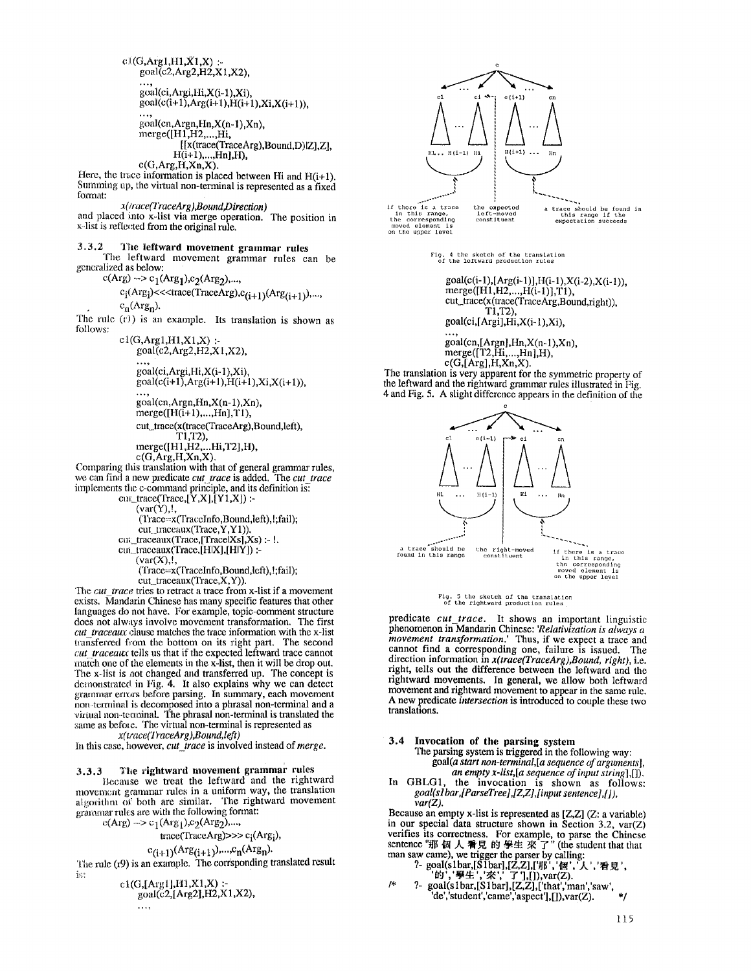$c1(G, Arg1,H1,X1,X)$  : $goal(c2,Arg2,H2,X1,X2),$ goal(ci, Argi, Hi, X(i-1), Xi),  $goal(c(i+1),Arg(i+1),H(i+1),Xi,X(i+1)),$ goal(cn,Argn,Hn,X(n-l),Xn),  $merge([H1,H2,\ldots,Hi],$ [ [x(trace(TraceArg),Bound,D)lZ],Z],  $H(i+1),...,Hn]$ ,H),  $c(G, Arg,H,Xn,X)$ . Here, the trace information is placed between Hi and  $H(i+1)$ . Summing up, the virtual non-terminal is represented as a fixed format: *x(trace(l'raceArg),Bound,Direction)*  and placed into x-list via merge operation. The position in x-list is reflected from the original rule. 3°3.2 The leftward movement grammar rules The leftward movement grammar rnles can be generalized as below:  $c(Arg) \rightarrow c_1(Arg_1), c_2(Arg_2), \ldots$  $c_i(Arg_i)$ <<<trace(TraceArg), $c_{(i+1)}(Arg_{(i+1)})$ ,...,  $c_n(Arg_n)$ . The rule  $(r)$ ) is an example. Its translation is shown as follows:  $c1(G,Arg1,H1,X1,X)$  :goal(c2,Arg2,H2,X1,X2), goal(ci,Argi,Hi,X(i-1),Xi),  $\gcd(c(i+1),\text{Arg}(i+1),\text{H}(i+1),\text{Xi}(i+1)),$ goal(cn,Argn,Hn,X(n- 1),Xn), merge([H(i+1),...,Hn],T1), cut\_trace(x(trace(TraceArg),Bound,left), T1,T2), merge([H1,H2,...Hi,T2],H), c(G,Arg,H,Xn,X). Comparing this translation with that of general grammar rules, we can find a new predicate *cut\_trace* is added. The *cut\_trace* implements the c-command principle, and its definition is: cnt\_trace(Trace,[Y,X],[Y1,X]) :- $\overrightarrow{(var(Y)},\overrightarrow{y})$ (l'race=x(TraceIn fo,Bound,left), !;fail); *cut traceaux(Trace,Y,Y1)).*  cnLtraceaux(Trace,[TracelXs],Xs) :- !. cut\_traceaux(Trace,[HIX],[HIY]) :- $\left(\text{var}(X),\right)$ *(Trace=x(TraceInfo,Bound,left),!;fail);*  cut\_traceaux(Tracc,X,Y)). The *cut trace* tries to retract a trace from x-list if a movement on the upper level

exists. Mandarin Chinese has many specific features that other languages do not have. For example, topic-comment structure does not always involve movement transformation. The first *cut traceaux* clause matches the trace information with the x-list transferred from the bottom on its right part. The second *cut traceaux* tells us that if the expected leftward trace cannot match one of the elements in the x-list, then it will be drop out. The x-list is not changed and transferred up. The concept is demonstrated in Fig. 4. It also explains why we can detect grammar errors before parsing. In summary, each movement non-terminal is decomposed into a phrasal non-terminal and a virtual non-tetroinal. The phrasal non-terminal is translated the same as before. The virtual non-terminal is represented as *x( tr ace(l YaceA r g ),Bound, left )* 

in this case, however, *cut\_trace* is involved instead of *merge.* 

### 3.3.3 The rightward movement grammar rules

Because we treat the leftward and the rightward movement grammar rules in a uniform way, the translation algorithm of both are similar. The rightward movement grammar rules are with the following format:

 $c(Arg) \rightarrow c_1(Arg_1), c_2(Arg_2),...$ 

$$
trace(TraceArg) >> c_i(Arg_i),
$$

 $c_{(i+1)}(Arg_{(i+1)})$ ,..., $c_n(Arg_n)$ .

The rule (r9) is an example. The corrsponding translated result is:

$$
c1(G, [Arg1], H1, X1, X):goal(c2, [Arg2], H2, X1, X2),
$$

e  $-1)$ **1**  if there is a trace the expected<br>
in this range, left-moved<br>
the corresponding constituent<br>
moved element is  $e(1+1)$  $\bigwedge_{\text{H}(1+1)}\cdots \bigwedge_{\text{Hn}}$ **I** 

a trace should be found in<br>this range if the<br>oxpoctation succeeds

Flg. 4 the sketch of the translation<br>of the leftward production rules

 $goal(c(i-1), [Arg(i-1)], H(i-1), X(i-2), X(i-1)),$ merge([H1,H2,...,H(i-1)],T1), cut\_trace(x(trace(TraceArg,Bound,right)), TI,T2), goal(ci,[Argi],Hi,X(i- 1),Xi),

goal(cn,[Argn],Hn,X(n-1),Xn), merge([T2,Hi,...,Hn],H),  $c(G, [Arg], H, Xn, X)$ .

The translation is very apparent for the symmetric property of the leftward and the rightward grammar rules illustrated in Fig. 4 and Fig. 5. A slight difference appears in the definition of the



# Fig. 5 the sketch of the translation<br>of the rightward production rules

predicate *cut trace.* It shows an important linguistic phenomenon in-Mandarin Chinese: *'Relativization is always a movement transformation.'* Thus, if we expect a trace and cannot find a corresponding one, failure is issued. The direction information in *x(trace(TraceArg),Bound, right),* i.e. right, tells out the difference between the leftward and the rightward movements. In general, we allow both leftward movement and rightward movement to appear in the same rule. A new predicate *intersection* is introduced to couple these two translations.

**3.4 Invocation of the parsing system** 

The parsing system is triggered in the following way: goal(a *start non-terminal,[a sequence of arguments], an empty x-list,[a sequence of input string],[]).* 

In GBLG1, the invocation is shown as follows: *goal(sl bar,[ParseTree],[Z~I,[input sentence],[]), Par(Z).* 

Because an empty x-list is represented as [Z,Z] (Z: a variable) in our special data structure shown in Section 3.2, var(Z) verifies its correctness. For example, to parse the Chinese sentence "那 個 人 看見 的 學生 來 了" (the student that that man saw came), we trigger the parser by calling:

- ?- goal(s1bar,[S1bar],[Z,Z],['那','個','人','看見',<br>'的','學生','來',' 了'],[]),var(Z).<br>'\* ?- goal(s1bar,[S1bar],[Z,Z],['that','man','saw',
- 'de','student','came','aspect'],[]),var(Z).  $*$ /

. . . .